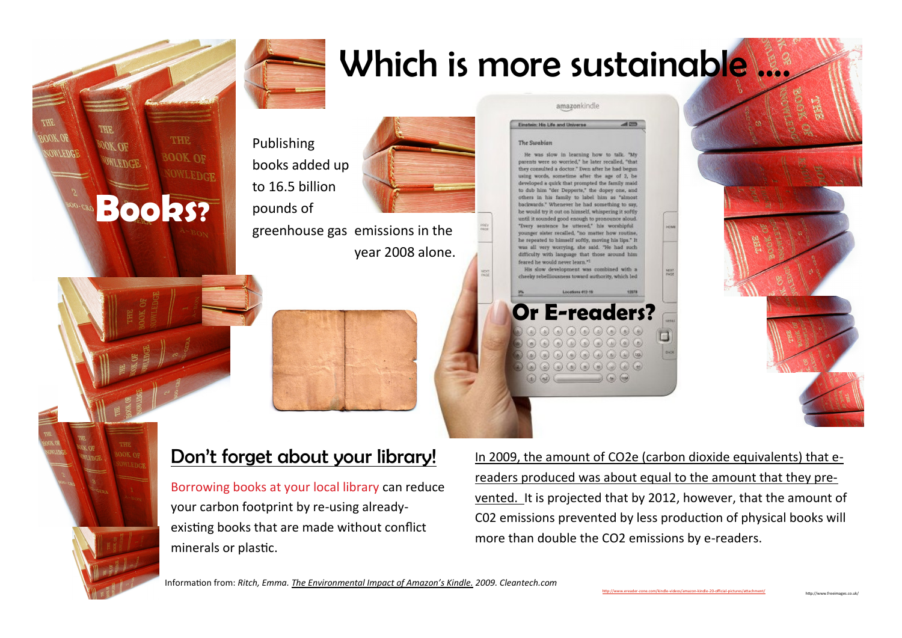



## Which is more sustainable ....

Einstein: Nis Life and Universe

Publishing books added up to 16.5 billion pounds of



greenhouse gas emissions in the year 2008 alone. amazonkindle

 $=$ 

## The Swabian

He was slow in learning how to talk. "My parents were so worried," he later recalled, "that they consulted a doctor." Even after he had begun words, sometime after the age of 2, be developed a quirk that prompted the family maid to dub him "der Depperte," the dopey one, and others in his family to label him as "almost backwards." Whenever he had something to say, be would try it out on himself, whispering it softly until it sounded good enough to pronounce aloud. "Deery sentence he uttered." his worshinful younger sister recalled, "no matter how routine, he repeated to himself softly, moving his lips." It was all very worrying, she said. "He had such difficulty with language that those around him feared he would never learn."

His slow development was combined with a cheeky rebelliousness toward authority, which led **Locations 412-1** 

**Or E-readers?**  $\begin{picture}(40,40) \put(0,0){\vector(0,0){100}} \put(15,0){\vector(0,0){100}} \put(15,0){\vector(0,0){100}} \put(15,0){\vector(0,0){100}} \put(15,0){\vector(0,0){100}} \put(15,0){\vector(0,0){100}} \put(15,0){\vector(0,0){100}} \put(15,0){\vector(0,0){100}} \put(15,0){\vector(0,0){100}} \put(15,0){\vector(0,0){100}} \put(15,0){\vector(0,0){100}} \$  $\circledast \circledast \circledast \circledast \circledast \circledast$  $\textcircled{\footnotesize{a}} \textcircled{\footnotesize{a}} \textcircled{\footnotesize{a}} \textcircled{\footnotesize{a}} \textcircled{\footnotesize{a}} \textcircled{\footnotesize{a}}$  $\circledcirc \circledcirc \circledcirc \circledcirc \circledcirc$  $\begin{pmatrix} 0 & \omega \end{pmatrix} \begin{pmatrix} 0 & \omega \end{pmatrix} \begin{pmatrix} 0 & \omega \end{pmatrix}$ 



http://www.freeimages.co.uk/



## Don't forget about your library!

Borrowing books at your local library can reduce your carbon footprint by re-using alreadyexisting books that are made without conflict minerals or plastic.

In 2009, the amount of CO2e (carbon dioxide equivalents) that ereaders produced was about equal to the amount that they prevented. It is projected that by 2012, however, that the amount of C02 emissions prevented by less production of physical books will more than double the CO2 emissions by e-readers.

Information from: *Ritch, Emma. The Environmental Impact of Amazon's Kindle. 2009. Cleantech.com*